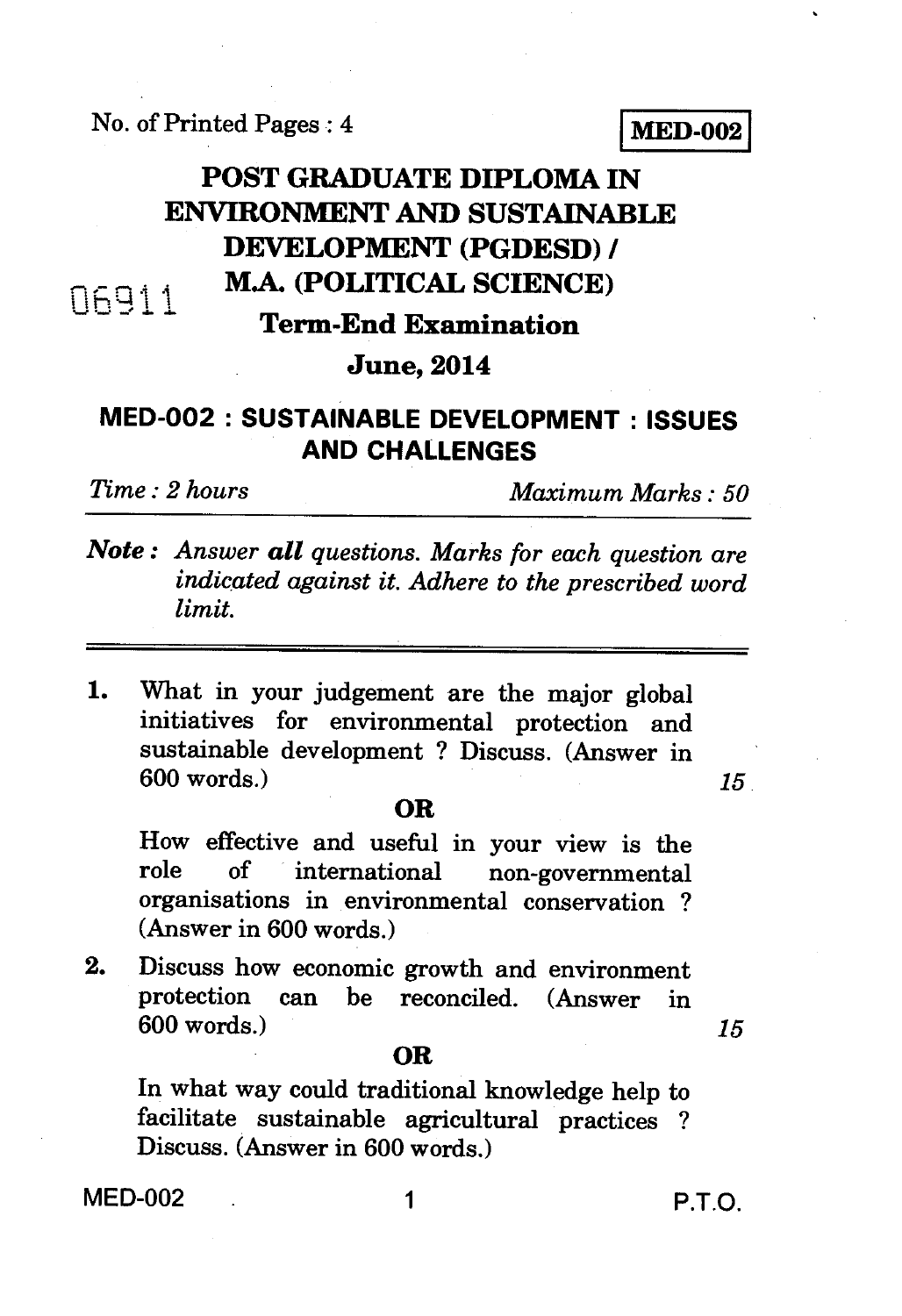## No. of Printed Pages : 4 **IVIED-002**

## **POST GRADUATE DIPLOMA IN ENVIRONMENT AND SUSTAINABLE DEVELOPMENT (PGDESD) / M.A. (POLITICAL SCIENCE) N6911**

### **Term-End Examination**

### **June, 2014**

# **MED-002 : SUSTAINABLE DEVELOPMENT : ISSUES AND CHALLENGES**

*Time : 2 hours Maximum Marks : 50* 

- *Note : Answer all questions. Marks for each question are indicated against it. Adhere to the prescribed word limit.*
- 1. What in your judgement are the major global initiatives for environmental protection and sustainable development ? Discuss. (Answer in 600 words.) *15*

### **OR**

How effective and useful in your view is the non-governmental organisations in environmental conservation ? (Answer in 600 words.)

2. Discuss how economic growth and environment protection can be reconciled. (Answer in 600 words.) *15* 

#### **OR**

In what way could traditional knowledge help to facilitate sustainable agricultural practices ? Discuss. (Answer in 600 words.)

MED-002 1 P.T.O.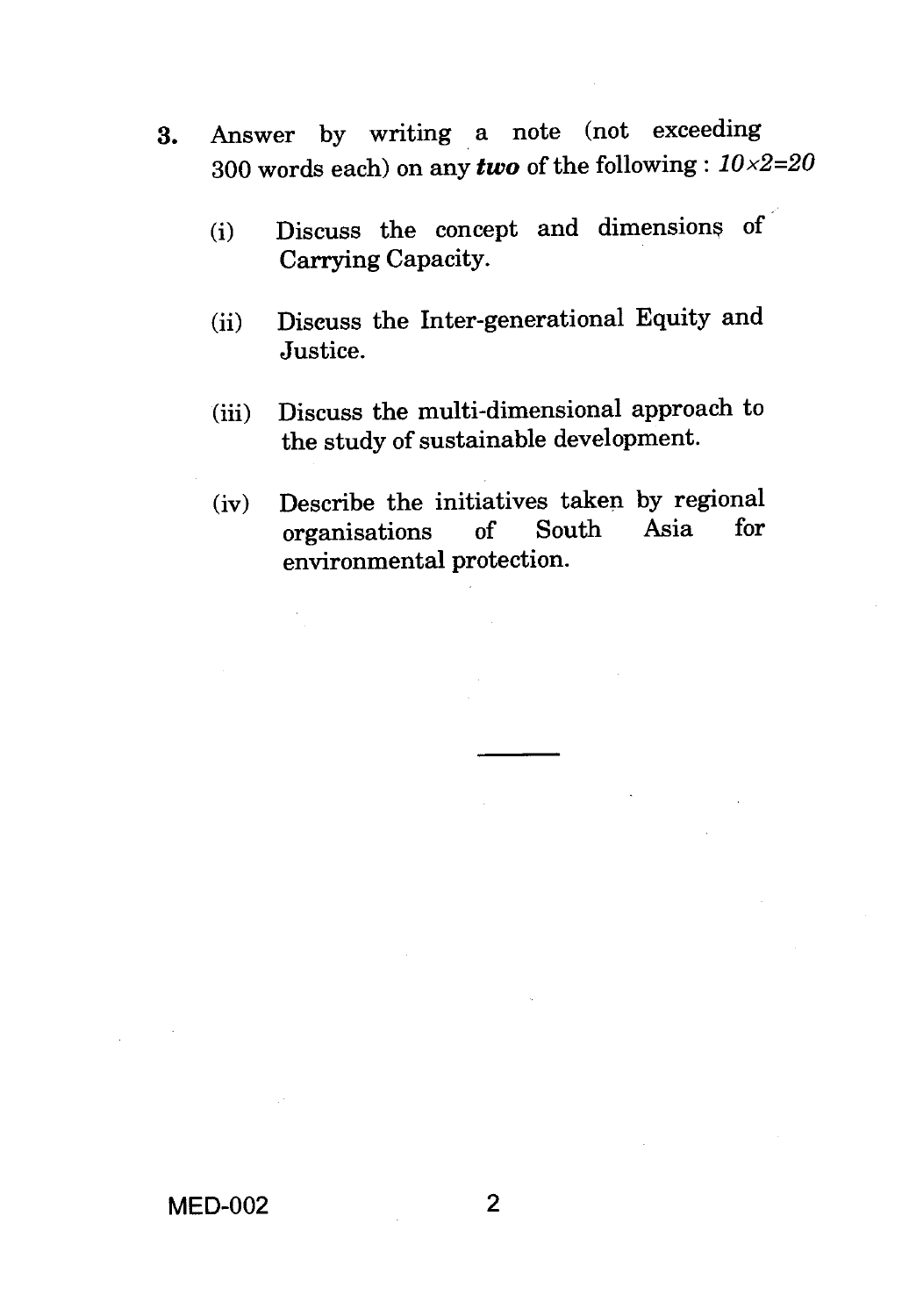- **3.** Answer by writing a note (not exceeding 300 words each) on any *two* of the following : *10x2=20* 
	- (i) Discuss the concept and dimensions of Carrying Capacity.
	- (ii) Discuss the Inter-generational Equity and Justice.
	- (iii) Discuss the multi-dimensional approach to the study of sustainable development.
	- (iv) Describe the initiatives taken by regional<br>organisations of South Asia for organisations environmental protection.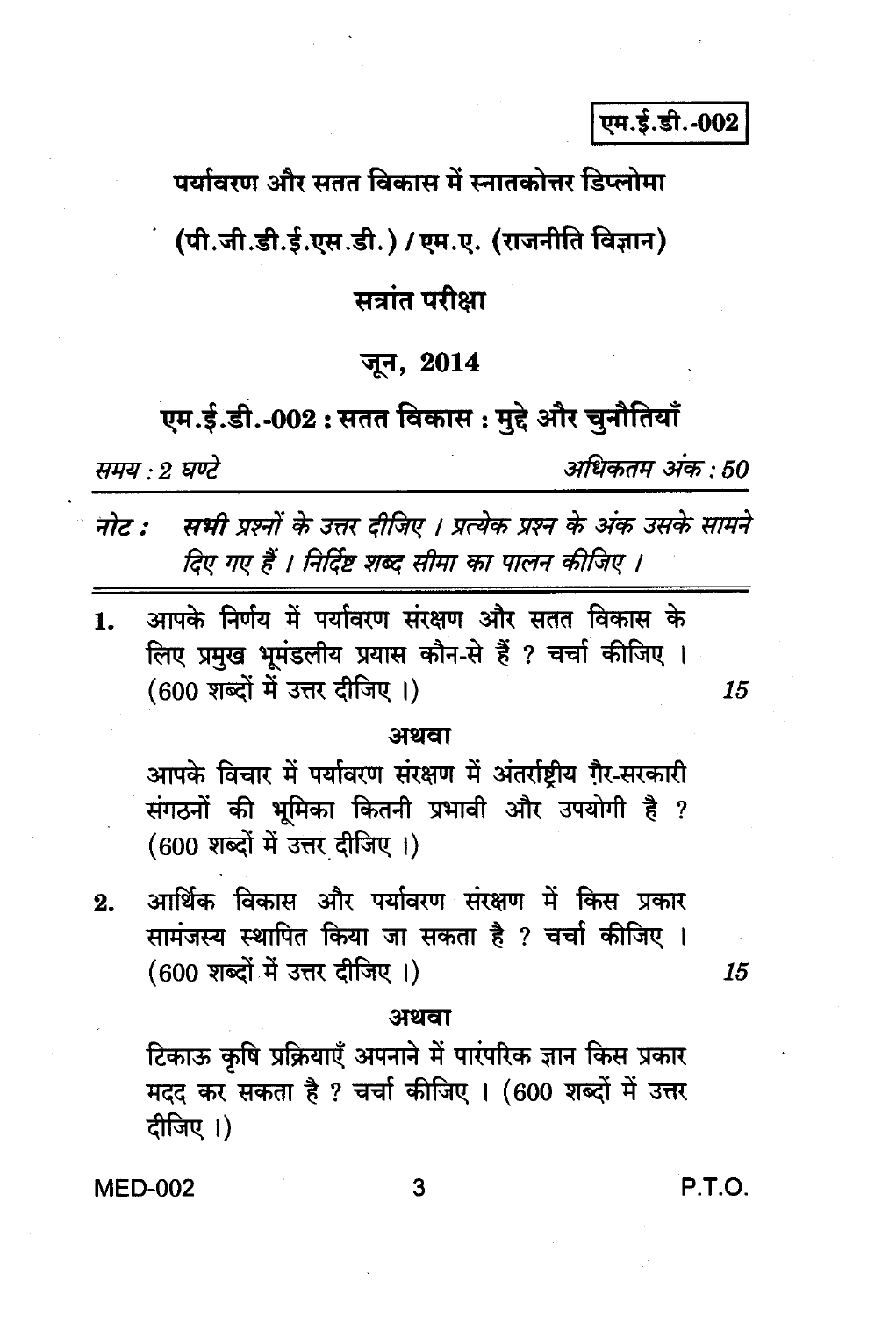एम.ई.डी.-002

पर्यावरण और सतत विकास में स्नातकोत्तर डिप्लोमा

(पी.जी.डी.ई.एस.डी.) / एम.ए. (राजनीति विज्ञान)

# सत्रांत परीक्षा

## जून, 2014

# एम.ई.डी.-002 : सतत विकास : मुद्दे और चुनौतियाँ

समय : 2 घण्टे

अधिकतम अंक : 50

नोट : सभी प्रश्नों के उत्तर दीजिए । प्रत्येक प्रश्न के अंक उसके सामने दिए गए हैं । निर्दिष्ट शब्द सीमा का पालन कीजिए ।

आपके निर्णय में पर्यावरण संरक्षण और सतत विकास के  $\mathbf{1}$ . लिए प्रमुख भूमंडलीय प्रयास कौन-से हैं ? चर्चा कीजिए । (600 शब्दों में उत्तर दीजिए।)

### अथवा

आपके विचार में पर्यावरण संरक्षण में अंतर्राष्टीय ग़ैर-सरकारी संगठनों की भूमिका कितनी प्रभावी और उपयोगी है ? (600 शब्दों में उत्तर दीजिए।)

आर्थिक विकास और पर्यावरण संरक्षण में किस प्रकार  $2.$ सामंजस्य स्थापित किया जा सकता है ? चर्चा कीजिए । (600 शब्दों में उत्तर दीजिए।)

#### 15

15

#### अथवा

टिकाऊ कृषि प्रक्रियाएँ अपनाने में पारंपरिक ज्ञान किस प्रकार मदद कर सकता है ? चर्चा कीजिए । (600 शब्दों में उत्तर दीजिए।)

**MED-002** 

P.T.O.